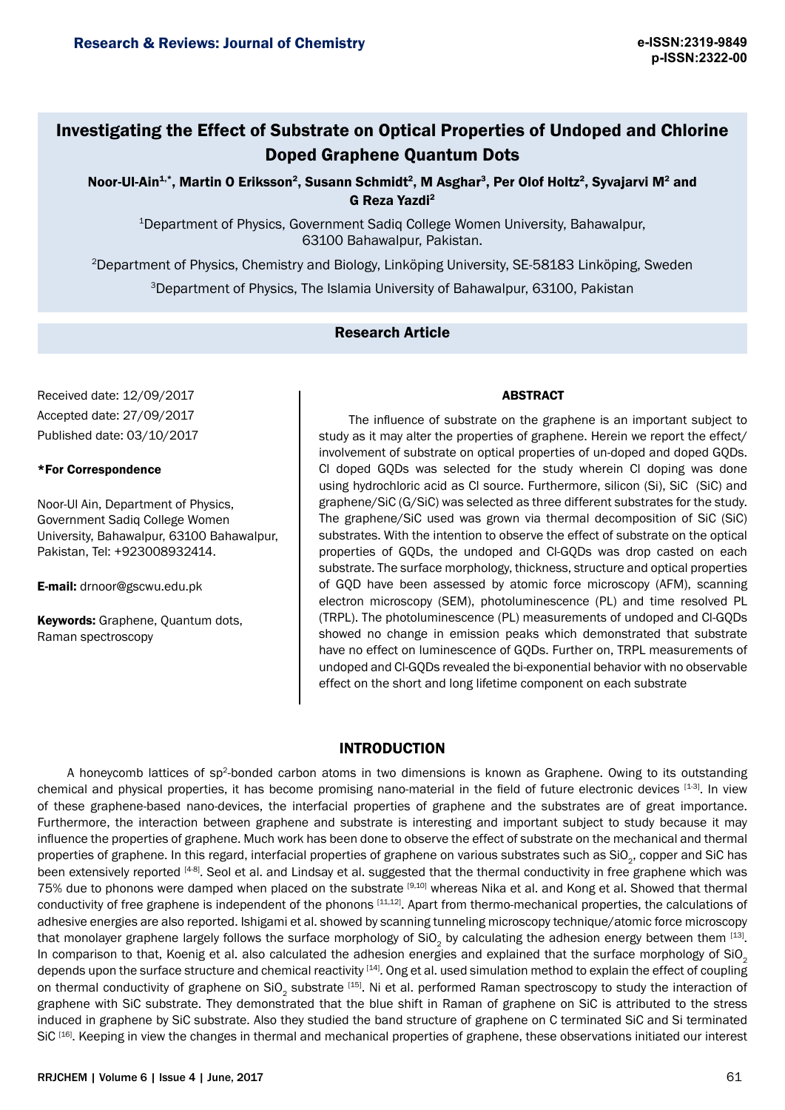# Investigating the Effect of Substrate on Optical Properties of Undoped and Chlorine Doped Graphene Quantum Dots

Noor-Ul-Ain<sup>1,\*</sup>, Martin O Eriksson<sup>2</sup>, Susann Schmidt<sup>2</sup>, M Asghar<sup>3</sup>, Per Olof Holtz<sup>2</sup>, Syvajarvi M<sup>2</sup> and G Reza Yazdi2

<sup>1</sup>Department of Physics, Government Sadiq College Women University, Bahawalpur, 63100 Bahawalpur, Pakistan.

<sup>2</sup>Department of Physics, Chemistry and Biology, Linköping University, SE-58183 Linköping, Sweden

<sup>3</sup>Department of Physics, The Islamia University of Bahawalpur, 63100, Pakistan

# Research Article

Received date: 12/09/2017 Accepted date: 27/09/2017 Published date: 03/10/2017

#### \*For Correspondence

Noor-Ul Ain, Department of Physics, Government Sadiq College Women University, Bahawalpur, 63100 Bahawalpur, Pakistan, Tel: +923008932414.

E-mail: drnoor@gscwu.edu.pk

Keywords: Graphene, Quantum dots, Raman spectroscopy

### ABSTRACT

The influence of substrate on the graphene is an important subject to study as it may alter the properties of graphene. Herein we report the effect/ involvement of substrate on optical properties of un-doped and doped GQDs. Cl doped GQDs was selected for the study wherein Cl doping was done using hydrochloric acid as Cl source. Furthermore, silicon (Si), SiC (SiC) and graphene/SiC (G/SiC) was selected as three different substrates for the study. The graphene/SiC used was grown via thermal decomposition of SiC (SiC) substrates. With the intention to observe the effect of substrate on the optical properties of GQDs, the undoped and Cl-GQDs was drop casted on each substrate. The surface morphology, thickness, structure and optical properties of GQD have been assessed by atomic force microscopy (AFM), scanning electron microscopy (SEM), photoluminescence (PL) and time resolved PL (TRPL). The photoluminescence (PL) measurements of undoped and Cl-GQDs showed no change in emission peaks which demonstrated that substrate have no effect on luminescence of GQDs. Further on, TRPL measurements of undoped and Cl-GQDs revealed the bi-exponential behavior with no observable effect on the short and long lifetime component on each substrate

## INTRODUCTION

A honeycomb lattices of sp2-bonded carbon atoms in two dimensions is known as Graphene. Owing to its outstanding chemical and physical properties, it has become promising nano-material in the field of future electronic devices [1-3]. In view of these graphene-based nano-devices, the interfacial properties of graphene and the substrates are of great importance. Furthermore, the interaction between graphene and substrate is interesting and important subject to study because it may influence the properties of graphene. Much work has been done to observe the effect of substrate on the mechanical and thermal properties of graphene. In this regard, interfacial properties of graphene on various substrates such as SiO<sub>2</sub>, copper and SiC has been extensively reported [4-8]. Seol et al. and Lindsay et al. suggested that the thermal conductivity in free graphene which was 75% due to phonons were damped when placed on the substrate [9,10] whereas Nika et al. and Kong et al. Showed that thermal conductivity of free graphene is independent of the phonons [11,12]. Apart from thermo-mechanical properties, the calculations of adhesive energies are also reported. Ishigami et al. showed by scanning tunneling microscopy technique/atomic force microscopy that monolayer graphene largely follows the surface morphology of SiO<sub>2</sub> by calculating the adhesion energy between them [13]. In comparison to that, Koenig et al. also calculated the adhesion energies and explained that the surface morphology of SiO<sub>2</sub> depends upon the surface structure and chemical reactivity [14]. Ong et al. used simulation method to explain the effect of coupling on thermal conductivity of graphene on SiO<sub>2</sub> substrate [15]. Ni et al. performed Raman spectroscopy to study the interaction of graphene with SiC substrate. They demonstrated that the blue shift in Raman of graphene on SiC is attributed to the stress induced in graphene by SiC substrate. Also they studied the band structure of graphene on C terminated SiC and Si terminated SiC<sup>[16]</sup>. Keeping in view the changes in thermal and mechanical properties of graphene, these observations initiated our interest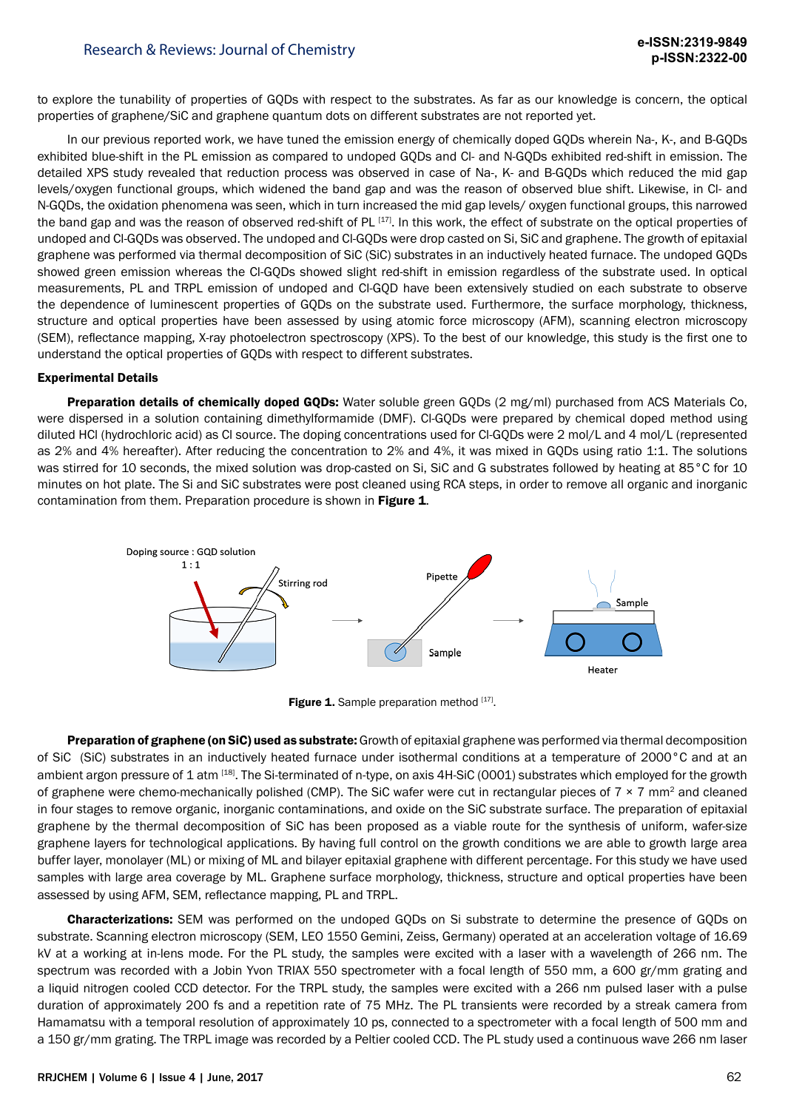to explore the tunability of properties of GQDs with respect to the substrates. As far as our knowledge is concern, the optical properties of graphene/SiC and graphene quantum dots on different substrates are not reported yet.

In our previous reported work, we have tuned the emission energy of chemically doped GQDs wherein Na-, K-, and B-GQDs exhibited blue-shift in the PL emission as compared to undoped GQDs and Cl- and N-GQDs exhibited red-shift in emission. The detailed XPS study revealed that reduction process was observed in case of Na-, K- and B-GQDs which reduced the mid gap levels/oxygen functional groups, which widened the band gap and was the reason of observed blue shift. Likewise, in Cl- and N-GQDs, the oxidation phenomena was seen, which in turn increased the mid gap levels/ oxygen functional groups, this narrowed the band gap and was the reason of observed red-shift of PL [17]. In this work, the effect of substrate on the optical properties of undoped and Cl-GQDs was observed. The undoped and Cl-GQDs were drop casted on Si, SiC and graphene. The growth of epitaxial graphene was performed via thermal decomposition of SiC (SiC) substrates in an inductively heated furnace. The undoped GQDs showed green emission whereas the Cl-GQDs showed slight red-shift in emission regardless of the substrate used. In optical measurements, PL and TRPL emission of undoped and Cl-GQD have been extensively studied on each substrate to observe the dependence of luminescent properties of GQDs on the substrate used. Furthermore, the surface morphology, thickness, structure and optical properties have been assessed by using atomic force microscopy (AFM), scanning electron microscopy (SEM), reflectance mapping, X-ray photoelectron spectroscopy (XPS). To the best of our knowledge, this study is the first one to understand the optical properties of GQDs with respect to different substrates.

#### Experimental Details

Preparation details of chemically doped GQDs: Water soluble green GODs (2 mg/ml) purchased from ACS Materials Co, were dispersed in a solution containing dimethylformamide (DMF). Cl-GODs were prepared by chemical doped method using diluted HCl (hydrochloric acid) as Cl source. The doping concentrations used for Cl-GQDs were 2 mol/L and 4 mol/L (represented as 2% and 4% hereafter). After reducing the concentration to 2% and 4%, it was mixed in GQDs using ratio 1:1. The solutions was stirred for 10 seconds, the mixed solution was drop-casted on Si, SiC and G substrates followed by heating at 85°C for 10 minutes on hot plate. The Si and SiC substrates were post cleaned using RCA steps, in order to remove all organic and inorganic contamination from them. Preparation procedure is shown in Figure 1.



Figure 1. Sample preparation method [17].

Preparation of graphene (on SiC) used as substrate: Growth of epitaxial graphene was performed via thermal decomposition of SiC (SiC) substrates in an inductively heated furnace under isothermal conditions at a temperature of 2000°C and at an ambient argon pressure of 1 atm [18]. The Si-terminated of n-type, on axis 4H-SiC (0001) substrates which employed for the growth of graphene were chemo-mechanically polished (CMP). The SiC wafer were cut in rectangular pieces of  $7 \times 7$  mm<sup>2</sup> and cleaned in four stages to remove organic, inorganic contaminations, and oxide on the SiC substrate surface. The preparation of epitaxial graphene by the thermal decomposition of SiC has been proposed as a viable route for the synthesis of uniform, wafer-size graphene layers for technological applications. By having full control on the growth conditions we are able to growth large area buffer layer, monolayer (ML) or mixing of ML and bilayer epitaxial graphene with different percentage. For this study we have used samples with large area coverage by ML. Graphene surface morphology, thickness, structure and optical properties have been assessed by using AFM, SEM, reflectance mapping, PL and TRPL.

Characterizations: SEM was performed on the undoped GQDs on Si substrate to determine the presence of GQDs on substrate. Scanning electron microscopy (SEM, LEO 1550 Gemini, Zeiss, Germany) operated at an acceleration voltage of 16.69 kV at a working at in-lens mode. For the PL study, the samples were excited with a laser with a wavelength of 266 nm. The spectrum was recorded with a Jobin Yvon TRIAX 550 spectrometer with a focal length of 550 mm, a 600 gr/mm grating and a liquid nitrogen cooled CCD detector. For the TRPL study, the samples were excited with a 266 nm pulsed laser with a pulse duration of approximately 200 fs and a repetition rate of 75 MHz. The PL transients were recorded by a streak camera from Hamamatsu with a temporal resolution of approximately 10 ps, connected to a spectrometer with a focal length of 500 mm and a 150 gr/mm grating. The TRPL image was recorded by a Peltier cooled CCD. The PL study used a continuous wave 266 nm laser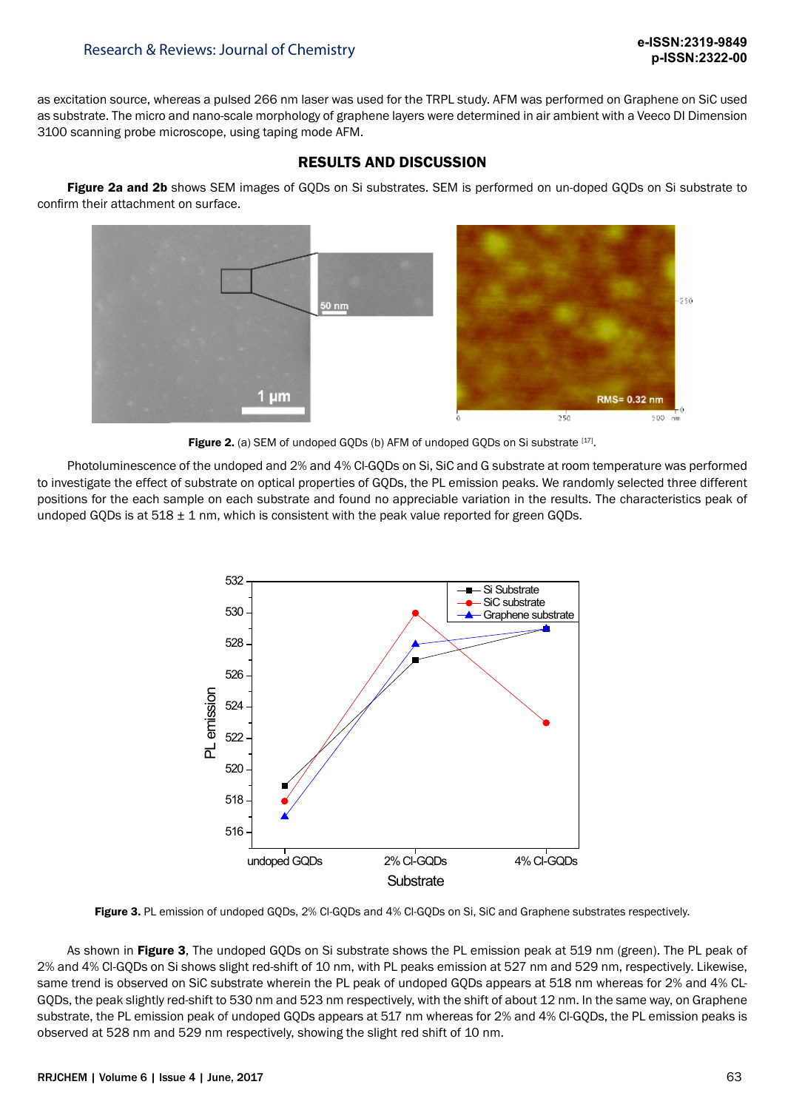as excitation source, whereas a pulsed 266 nm laser was used for the TRPL study. AFM was performed on Graphene on SiC used as substrate. The micro and nano-scale morphology of graphene layers were determined in air ambient with a Veeco DI Dimension 3100 scanning probe microscope, using taping mode AFM.

# RESULTS AND DISCUSSION

Figure 2a and 2b shows SEM images of GQDs on Si substrates. SEM is performed on un-doped GQDs on Si substrate to confirm their attachment on surface.



Figure 2. (a) SEM of undoped GQDs (b) AFM of undoped GQDs on Si substrate [17].

Photoluminescence of the undoped and 2% and 4% Cl-GQDs on Si, SiC and G substrate at room temperature was performed to investigate the effect of substrate on optical properties of GQDs, the PL emission peaks. We randomly selected three different positions for the each sample on each substrate and found no appreciable variation in the results. The characteristics peak of undoped GODs is at  $518 \pm 1$  nm, which is consistent with the peak value reported for green GODs.



Figure 3. PL emission of undoped GQDs, 2% Cl-GQDs and 4% Cl-GQDs on Si, SiC and Graphene substrates respectively.

As shown in Figure 3, The undoped GODs on Si substrate shows the PL emission peak at 519 nm (green). The PL peak of 2% and 4% Cl-GQDs on Si shows slight red-shift of 10 nm, with PL peaks emission at 527 nm and 529 nm, respectively. Likewise, same trend is observed on SiC substrate wherein the PL peak of undoped GQDs appears at 518 nm whereas for 2% and 4% CL-GQDs, the peak slightly red-shift to 530 nm and 523 nm respectively, with the shift of about 12 nm. In the same way, on Graphene substrate, the PL emission peak of undoped GQDs appears at 517 nm whereas for 2% and 4% Cl-GQDs, the PL emission peaks is observed at 528 nm and 529 nm respectively, showing the slight red shift of 10 nm.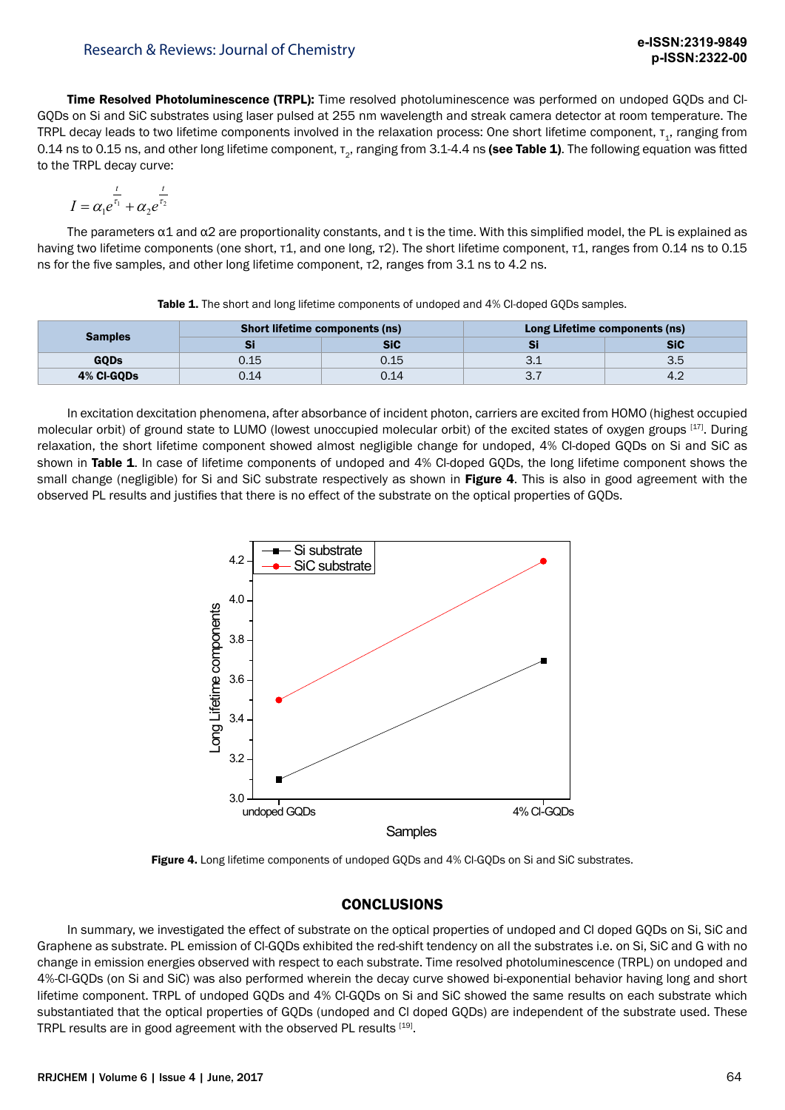Time Resolved Photoluminescence (TRPL): Time resolved photoluminescence was performed on undoped GQDs and Cl-GQDs on Si and SiC substrates using laser pulsed at 255 nm wavelength and streak camera detector at room temperature. The TRPL decay leads to two lifetime components involved in the relaxation process: One short lifetime component, τ,, ranging from 0.14 ns to 0.15 ns, and other long lifetime component,  $\tau_{2}$ , ranging from 3.1-4.4 ns (see Table 1). The following equation was fitted to the TRPL decay curve:

$$
I = \alpha_1 e^{\frac{t}{\tau_1}} + \alpha_2 e^{\frac{t}{\tau_2}}
$$

The parameters  $\alpha$ 1 and  $\alpha$ 2 are proportionality constants, and t is the time. With this simplified model, the PL is explained as having two lifetime components (one short, τ1, and one long, τ2). The short lifetime component, τ1, ranges from 0.14 ns to 0.15 ns for the five samples, and other long lifetime component, τ2, ranges from 3.1 ns to 4.2 ns.

| <b>Samples</b> | <b>Short lifetime components (ns)</b> |      | Long Lifetime components (ns) |     |
|----------------|---------------------------------------|------|-------------------------------|-----|
|                |                                       | SiC  |                               | SiC |
| <b>GQDs</b>    | 0.15                                  | 0.15 | ۔۔۔                           | ◡.◡ |
| 4% CI-GQDs     | 0.14                                  | 0.14 | ، ب                           |     |

Table 1. The short and long lifetime components of undoped and 4% Cl-doped GQDs samples.

In excitation dexcitation phenomena, after absorbance of incident photon, carriers are excited from HOMO (highest occupied molecular orbit) of ground state to LUMO (lowest unoccupied molecular orbit) of the excited states of oxygen groups [17]. During relaxation, the short lifetime component showed almost negligible change for undoped, 4% Cl-doped GQDs on Si and SiC as shown in Table 1. In case of lifetime components of undoped and 4% CI-doped GQDs, the long lifetime component shows the small change (negligible) for Si and SiC substrate respectively as shown in Figure 4. This is also in good agreement with the observed PL results and justifies that there is no effect of the substrate on the optical properties of GQDs.



Figure 4. Long lifetime components of undoped GODs and 4% CI-GODs on Si and SiC substrates.

## **CONCLUSIONS**

In summary, we investigated the effect of substrate on the optical properties of undoped and Cl doped GQDs on Si, SiC and Graphene as substrate. PL emission of Cl-GQDs exhibited the red-shift tendency on all the substrates i.e. on Si, SiC and G with no change in emission energies observed with respect to each substrate. Time resolved photoluminescence (TRPL) on undoped and 4%-Cl-GQDs (on Si and SiC) was also performed wherein the decay curve showed bi-exponential behavior having long and short lifetime component. TRPL of undoped GQDs and 4% Cl-GQDs on Si and SiC showed the same results on each substrate which substantiated that the optical properties of GQDs (undoped and Cl doped GQDs) are independent of the substrate used. These TRPL results are in good agreement with the observed PL results [19].